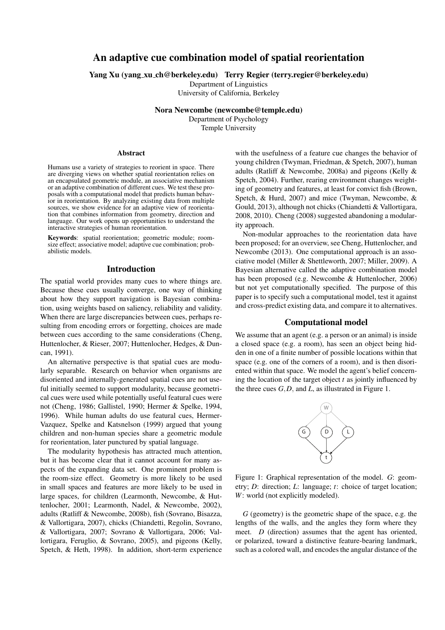# An adaptive cue combination model of spatial reorientation

Yang Xu (yang xu ch@berkeley.edu) Terry Regier (terry.regier@berkeley.edu)

Department of Linguistics

University of California, Berkeley

Nora Newcombe (newcombe@temple.edu) Department of Psychology Temple University

#### Abstract

Humans use a variety of strategies to reorient in space. There are diverging views on whether spatial reorientation relies on an encapsulated geometric module, an associative mechanism or an adaptive combination of different cues. We test these proposals with a computational model that predicts human behavior in reorientation. By analyzing existing data from multiple sources, we show evidence for an adaptive view of reorientation that combines information from geometry, direction and language. Our work opens up opportunities to understand the interactive strategies of human reorientation.

Keywords: spatial reorientation; geometric module; roomsize effect; associative model; adaptive cue combination; probabilistic models.

## Introduction

The spatial world provides many cues to where things are. Because these cues usually converge, one way of thinking about how they support navigation is Bayesian combination, using weights based on saliency, reliability and validity. When there are large discrepancies between cues, perhaps resulting from encoding errors or forgetting, choices are made between cues according to the same considerations (Cheng, Huttenlocher, & Rieser, 2007; Huttenlocher, Hedges, & Duncan, 1991).

An alternative perspective is that spatial cues are modularly separable. Research on behavior when organisms are disoriented and internally-generated spatial cues are not useful initially seemed to support modularity, because geometrical cues were used while potentially useful featural cues were not (Cheng, 1986; Gallistel, 1990; Hermer & Spelke, 1994, 1996). While human adults do use featural cues, Hermer-Vazquez, Spelke and Katsnelson (1999) argued that young children and non-human species share a geometric module for reorientation, later punctured by spatial language.

The modularity hypothesis has attracted much attention, but it has become clear that it cannot account for many aspects of the expanding data set. One prominent problem is the room-size effect. Geometry is more likely to be used in small spaces and features are more likely to be used in large spaces, for children (Learmonth, Newcombe, & Huttenlocher, 2001; Learmonth, Nadel, & Newcombe, 2002), adults (Ratliff & Newcombe, 2008b), fish (Sovrano, Bisazza, & Vallortigara, 2007), chicks (Chiandetti, Regolin, Sovrano, & Vallortigara, 2007; Sovrano & Vallortigara, 2006; Vallortigara, Feruglio, & Sovrano, 2005), and pigeons (Kelly, Spetch, & Heth, 1998). In addition, short-term experience with the usefulness of a feature cue changes the behavior of young children (Twyman, Friedman, & Spetch, 2007), human adults (Ratliff & Newcombe, 2008a) and pigeons (Kelly & Spetch, 2004). Further, rearing environment changes weighting of geometry and features, at least for convict fish (Brown, Spetch, & Hurd, 2007) and mice (Twyman, Newcombe, & Gould, 2013), although not chicks (Chiandetti & Vallortigara, 2008, 2010). Cheng (2008) suggested abandoning a modularity approach.

Non-modular approaches to the reorientation data have been proposed; for an overview, see Cheng, Huttenlocher, and Newcombe (2013). One computational approach is an associative model (Miller & Shettleworth, 2007; Miller, 2009). A Bayesian alternative called the adaptive combination model has been proposed (e.g. Newcombe & Huttenlocher, 2006) but not yet computationally specified. The purpose of this paper is to specify such a computational model, test it against and cross-predict existing data, and compare it to alternatives.

### Computational model

We assume that an agent (e.g. a person or an animal) is inside a closed space (e.g. a room), has seen an object being hidden in one of a finite number of possible locations within that space (e.g. one of the corners of a room), and is then disoriented within that space. We model the agent's belief concerning the location of the target object *t* as jointly influenced by the three cues *G,D,* and *L*, as illustrated in Figure 1.



Figure 1: Graphical representation of the model. *G*: geometry; *D*: direction; *L*: language; *t*: choice of target location; *W*: world (not explicitly modeled).

*G* (geometry) is the geometric shape of the space, e.g. the lengths of the walls, and the angles they form where they meet. *D* (direction) assumes that the agent has oriented, or polarized, toward a distinctive feature-bearing landmark, such as a colored wall, and encodes the angular distance of the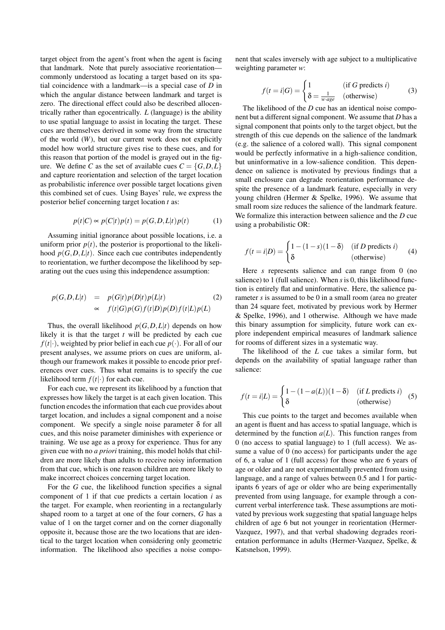target object from the agent's front when the agent is facing that landmark. Note that purely associative reorientation commonly understood as locating a target based on its spatial coincidence with a landmark—is a special case of *D* in which the angular distance between landmark and target is zero. The directional effect could also be described allocentrically rather than egocentrically. *L* (language) is the ability to use spatial language to assist in locating the target. These cues are themselves derived in some way from the structure of the world (*W*), but our current work does not explicitly model how world structure gives rise to these cues, and for this reason that portion of the model is grayed out in the figure. We define *C* as the set of available cues  $C = \{G, D, L\}$ and capture reorientation and selection of the target location as probabilistic inference over possible target locations given this combined set of cues. Using Bayes' rule, we express the posterior belief concerning target location *t* as:

$$
p(t|C) \propto p(C|t)p(t) = p(G,D,L|t)p(t)
$$
 (1)

Assuming initial ignorance about possible locations, i.e. a uniform prior  $p(t)$ , the posterior is proportional to the likelihood  $p(G, D, L | t)$ . Since each cue contributes independently to reorientation, we further decompose the likelihood by separating out the cues using this independence assumption:

$$
p(G, D, L|t) = p(G|t)p(D|t)p(L|t)
$$
  
\n
$$
\propto f(t|G)p(G)f(t|D)p(D)f(t|L)p(L)
$$
\n(2)

Thus, the overall likelihood  $p(G, D, L|t)$  depends on how likely it is that the target *t* will be predicted by each cue  $f(t|\cdot)$ , weighted by prior belief in each cue  $p(\cdot)$ . For all of our present analyses, we assume priors on cues are uniform, although our framework makes it possible to encode prior preferences over cues. Thus what remains is to specify the cue likelihood term  $f(t|\cdot)$  for each cue.

For each cue, we represent its likelihood by a function that expresses how likely the target is at each given location. This function encodes the information that each cue provides about target location, and includes a signal component and a noise component. We specify a single noise parameter  $\delta$  for all cues, and this noise parameter diminishes with experience or training. We use age as a proxy for experience. Thus for any given cue with no *a priori* training, this model holds that children are more likely than adults to receive noisy information from that cue, which is one reason children are more likely to make incorrect choices concerning target location.

For the *G* cue, the likelihood function specifies a signal component of 1 if that cue predicts a certain location *i* as the target. For example, when reorienting in a rectangularly shaped room to a target at one of the four corners, *G* has a value of 1 on the target corner and on the corner diagonally opposite it, because those are the two locations that are identical to the target location when considering only geometric information. The likelihood also specifies a noise component that scales inversely with age subject to a multiplicative weighting parameter *w*:

$$
f(t = i|G) = \begin{cases} 1 & (\text{if } G \text{ predicts } i) \\ \delta = \frac{1}{w \cdot age} & (\text{otherwise}) \end{cases}
$$
(3)

The likelihood of the *D* cue has an identical noise component but a different signal component. We assume that *D* has a signal component that points only to the target object, but the strength of this cue depends on the salience of the landmark (e.g. the salience of a colored wall). This signal component would be perfectly informative in a high-salience condition, but uninformative in a low-salience condition. This dependence on salience is motivated by previous findings that a small enclosure can degrade reorientation performance despite the presence of a landmark feature, especially in very young children (Hermer & Spelke, 1996). We assume that small room size reduces the salience of the landmark feature. We formalize this interaction between salience and the *D* cue using a probabilistic OR:

$$
f(t = i|D) = \begin{cases} 1 - (1 - s)(1 - \delta) & \text{(if } D \text{ predicts } i) \\ \delta & \text{(otherwise)} \end{cases}
$$
(4)

Here *s* represents salience and can range from 0 (no salience) to 1 (full salience). When *s*is 0, this likelihood function is entirely flat and uninformative. Here, the salience parameter *s* is assumed to be 0 in a small room (area no greater than 24 square feet, motivated by previous work by Hermer & Spelke, 1996), and 1 otherwise. Although we have made this binary assumption for simplicity, future work can explore independent empirical measures of landmark salience for rooms of different sizes in a systematic way.

The likelihood of the *L* cue takes a similar form, but depends on the availability of spatial language rather than salience:

$$
f(t = i|L) = \begin{cases} 1 - (1 - a(L))(1 - \delta) & \text{(if } L \text{ predicts } i) \\ \delta & \text{(otherwise)} \end{cases}
$$
(5)

This cue points to the target and becomes available when an agent is fluent and has access to spatial language, which is determined by the function  $a(L)$ . This function ranges from 0 (no access to spatial language) to 1 (full access). We assume a value of 0 (no access) for participants under the age of 6, a value of 1 (full access) for those who are 6 years of age or older and are not experimentally prevented from using language, and a range of values between 0.5 and 1 for participants 6 years of age or older who are being experimentally prevented from using language, for example through a concurrent verbal interference task. These assumptions are motivated by previous work suggesting that spatial language helps children of age 6 but not younger in reorientation (Hermer-Vazquez, 1997), and that verbal shadowing degrades reorientation performance in adults (Hermer-Vazquez, Spelke, & Katsnelson, 1999).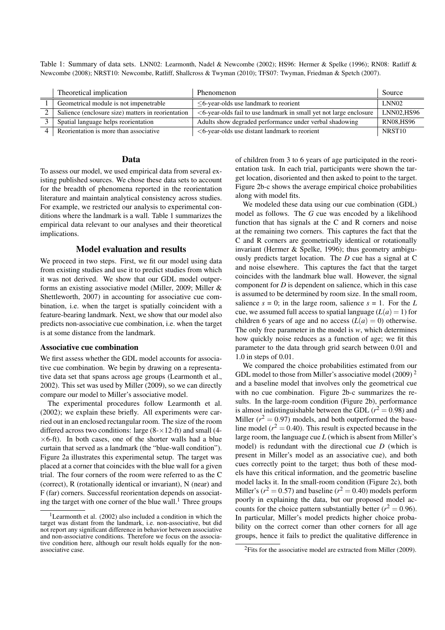Table 1: Summary of data sets. LNN02: Learmonth, Nadel & Newcombe (2002); HS96: Hermer & Spelke (1996); RN08: Ratliff & Newcombe (2008); NRST10: Newcombe, Ratliff, Shallcross & Twyman (2010); TFS07: Twyman, Friedman & Spetch (2007).

| Theoretical implication                            | Phenomenon                                                            | Source             |
|----------------------------------------------------|-----------------------------------------------------------------------|--------------------|
| Geometrical module is not impenetrable             | $<$ 6-year-olds use landmark to reorient                              | LNN <sub>02</sub>  |
| Salience (enclosure size) matters in reorientation | $<$ 6-year-olds fail to use landmark in small yet not large enclosure | LNN02.HS96         |
| Spatial language helps reorientation               | Adults show degraded performance under verbal shadowing               | <b>RN08.HS96</b>   |
| Reorientation is more than associative             | $<$ 6-year-olds use distant landmark to reorient                      | NRST <sub>10</sub> |

# Data

To assess our model, we used empirical data from several existing published sources. We chose these data sets to account for the breadth of phenomena reported in the reorientation literature and maintain analytical consistency across studies. For example, we restricted our analysis to experimental conditions where the landmark is a wall. Table 1 summarizes the empirical data relevant to our analyses and their theoretical implications.

## Model evaluation and results

We proceed in two steps. First, we fit our model using data from existing studies and use it to predict studies from which it was not derived. We show that our GDL model outperforms an existing associative model (Miller, 2009; Miller & Shettleworth, 2007) in accounting for associative cue combination, i.e. when the target is spatially coincident with a feature-bearing landmark. Next, we show that our model also predicts non-associative cue combination, i.e. when the target is at some distance from the landmark.

## Associative cue combination

We first assess whether the GDL model accounts for associative cue combination. We begin by drawing on a representative data set that spans across age groups (Learmonth et al., 2002). This set was used by Miller (2009), so we can directly compare our model to Miller's associative model.

The experimental procedures follow Learmonth et al. (2002); we explain these briefly. All experiments were carried out in an enclosed rectangular room. The size of the room differed across two conditions: large (8-*×*12-ft) and small (4- *×*6-ft). In both cases, one of the shorter walls had a blue curtain that served as a landmark (the "blue-wall condition"). Figure 2a illustrates this experimental setup. The target was placed at a corner that coincides with the blue wall for a given trial. The four corners of the room were referred to as the C (correct), R (rotationally identical or invariant), N (near) and F (far) corners. Successful reorientation depends on associating the target with one corner of the blue wall. $<sup>1</sup>$  Three groups</sup> of children from 3 to 6 years of age participated in the reorientation task. In each trial, participants were shown the target location, disoriented and then asked to point to the target. Figure 2b-c shows the average empirical choice probabilities along with model fits.

We modeled these data using our cue combination (GDL) model as follows. The *G* cue was encoded by a likelihood function that has signals at the C and R corners and noise at the remaining two corners. This captures the fact that the C and R corners are geometrically identical or rotationally invariant (Hermer & Spelke, 1996); thus geometry ambiguously predicts target location. The *D* cue has a signal at C and noise elsewhere. This captures the fact that the target coincides with the landmark blue wall. However, the signal component for *D* is dependent on salience, which in this case is assumed to be determined by room size. In the small room, salience  $s = 0$ ; in the large room, salience  $s = 1$ . For the *L* cue, we assumed full access to spatial language  $(L(a) = 1)$  for children 6 years of age and no access  $(L(a) = 0)$  otherwise. The only free parameter in the model is *w*, which determines how quickly noise reduces as a function of age; we fit this parameter to the data through grid search between 0.01 and 1.0 in steps of 0.01.

We compared the choice probabilities estimated from our GDL model to those from Miller's associative model  $(2009)^2$ and a baseline model that involves only the geometrical cue with no cue combination. Figure 2b-c summarizes the results. In the large-room condition (Figure 2b), performance is almost indistinguishable between the GDL  $(r^2 = 0.98)$  and Miller  $(r^2 = 0.97)$  models, and both outperformed the baseline model  $(r^2 = 0.40)$ . This result is expected because in the large room, the language cue *L* (which is absent from Miller's model) is redundant with the directional cue *D* (which is present in Miller's model as an associative cue), and both cues correctly point to the target; thus both of these models have this critical information, and the geometric baseline model lacks it. In the small-room condition (Figure 2c), both Miller's ( $r^2 = 0.57$ ) and baseline ( $r^2 = 0.40$ ) models perform poorly in explaining the data, but our proposed model accounts for the choice pattern substantially better  $(r^2 = 0.96)$ . In particular, Miller's model predicts higher choice probability on the correct corner than other corners for all age groups, hence it fails to predict the qualitative difference in

<sup>&</sup>lt;sup>1</sup>Learmonth et al. (2002) also included a condition in which the target was distant from the landmark, i.e. non-associative, but did not report any significant difference in behavior between associative and non-associative conditions. Therefore we focus on the associative condition here, although our result holds equally for the nonassociative case.

 ${}^{2}$ Fits for the associative model are extracted from Miller (2009).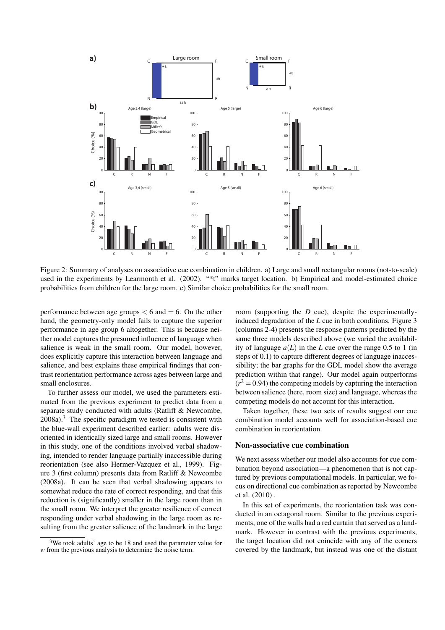

Figure 2: Summary of analyses on associative cue combination in children. a) Large and small rectangular rooms (not-to-scale) used in the experiments by Learmonth et al. (2002). "\*t" marks target location. b) Empirical and model-estimated choice probabilities from children for the large room. c) Similar choice probabilities for the small room.

performance between age groups  $< 6$  and  $= 6$ . On the other hand, the geometry-only model fails to capture the superior performance in age group 6 altogether. This is because neither model captures the presumed influence of language when salience is weak in the small room. Our model, however, does explicitly capture this interaction between language and salience, and best explains these empirical findings that contrast reorientation performance across ages between large and small enclosures.

To further assess our model, we used the parameters estimated from the previous experiment to predict data from a separate study conducted with adults (Ratliff & Newcombe, 2008a).<sup>3</sup> The specific paradigm we tested is consistent with the blue-wall experiment described earlier: adults were disoriented in identically sized large and small rooms. However in this study, one of the conditions involved verbal shadowing, intended to render language partially inaccessible during reorientation (see also Hermer-Vazquez et al., 1999). Figure 3 (first column) presents data from Ratliff & Newcombe (2008a). It can be seen that verbal shadowing appears to somewhat reduce the rate of correct responding, and that this reduction is (significantly) smaller in the large room than in the small room. We interpret the greater resilience of correct responding under verbal shadowing in the large room as resulting from the greater salience of the landmark in the large room (supporting the *D* cue), despite the experimentallyinduced degradation of the *L* cue in both conditions. Figure 3 (columns 2-4) presents the response patterns predicted by the same three models described above (we varied the availability of language  $a(L)$  in the *L* cue over the range 0.5 to 1 (in steps of 0.1) to capture different degrees of language inaccessibility; the bar graphs for the GDL model show the average prediction within that range). Our model again outperforms  $(r^2 = 0.94)$  the competing models by capturing the interaction between salience (here, room size) and language, whereas the competing models do not account for this interaction.

Taken together, these two sets of results suggest our cue combination model accounts well for association-based cue combination in reorientation.

## Non-associative cue combination

We next assess whether our model also accounts for cue combination beyond association—a phenomenon that is not captured by previous computational models. In particular, we focus on directional cue combination as reported by Newcombe et al. (2010) .

In this set of experiments, the reorientation task was conducted in an octagonal room. Similar to the previous experiments, one of the walls had a red curtain that served as a landmark. However in contrast with the previous experiments, the target location did not coincide with any of the corners covered by the landmark, but instead was one of the distant

 $3$ We took adults' age to be 18 and used the parameter value for *w* from the previous analysis to determine the noise term.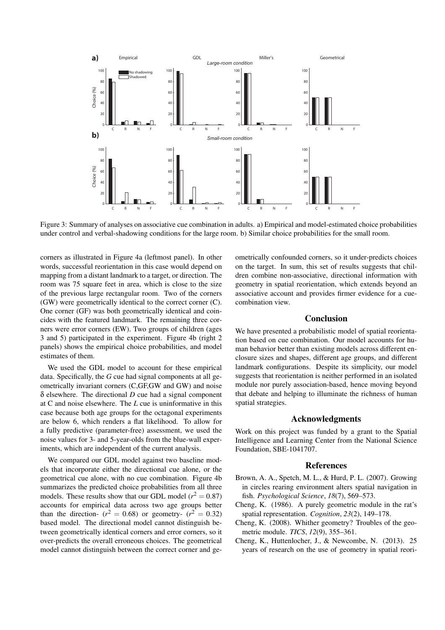

Figure 3: Summary of analyses on associative cue combination in adults. a) Empirical and model-estimated choice probabilities under control and verbal-shadowing conditions for the large room. b) Similar choice probabilities for the small room.

corners as illustrated in Figure 4a (leftmost panel). In other words, successful reorientation in this case would depend on mapping from a distant landmark to a target, or direction. The room was 75 square feet in area, which is close to the size of the previous large rectangular room. Two of the corners (GW) were geometrically identical to the correct corner (C). One corner (GF) was both geometrically identical and coincides with the featured landmark. The remaining three corners were error corners (EW). Two groups of children (ages 3 and 5) participated in the experiment. Figure 4b (right 2 panels) shows the empirical choice probabilities, and model estimates of them.

We used the GDL model to account for these empirical data. Specifically, the *G* cue had signal components at all geometrically invariant corners (C,GF,GW and GW) and noise δ elsewhere. The directional *D* cue had a signal component at C and noise elsewhere. The *L* cue is uninformative in this case because both age groups for the octagonal experiments are below 6, which renders a flat likelihood. To allow for a fully predictive (parameter-free) assessment, we used the noise values for 3- and 5-year-olds from the blue-wall experiments, which are independent of the current analysis.

We compared our GDL model against two baseline models that incorporate either the directional cue alone, or the geometrical cue alone, with no cue combination. Figure 4b summarizes the predicted choice probabilities from all three models. These results show that our GDL model  $(r^2 = 0.87)$ accounts for empirical data across two age groups better than the direction-  $(r^2 = 0.68)$  or geometry-  $(r^2 = 0.32)$ based model. The directional model cannot distinguish between geometrically identical corners and error corners, so it over-predicts the overall erroneous choices. The geometrical model cannot distinguish between the correct corner and geometrically confounded corners, so it under-predicts choices on the target. In sum, this set of results suggests that children combine non-associative, directional information with geometry in spatial reorientation, which extends beyond an associative account and provides firmer evidence for a cuecombination view.

## Conclusion

We have presented a probabilistic model of spatial reorientation based on cue combination. Our model accounts for human behavior better than existing models across different enclosure sizes and shapes, different age groups, and different landmark configurations. Despite its simplicity, our model suggests that reorientation is neither performed in an isolated module nor purely association-based, hence moving beyond that debate and helping to illuminate the richness of human spatial strategies.

### Acknowledgments

Work on this project was funded by a grant to the Spatial Intelligence and Learning Center from the National Science Foundation, SBE-1041707.

#### References

- Brown, A. A., Spetch, M. L., & Hurd, P. L. (2007). Growing in circles rearing environment alters spatial navigation in fish. *Psychological Science*, *18*(7), 569–573.
- Cheng, K. (1986). A purely geometric module in the rat's spatial representation. *Cognition*, *23*(2), 149–178.
- Cheng, K. (2008). Whither geometry? Troubles of the geometric module. *TICS*, *12*(9), 355–361.
- Cheng, K., Huttenlocher, J., & Newcombe, N. (2013). 25 years of research on the use of geometry in spatial reori-